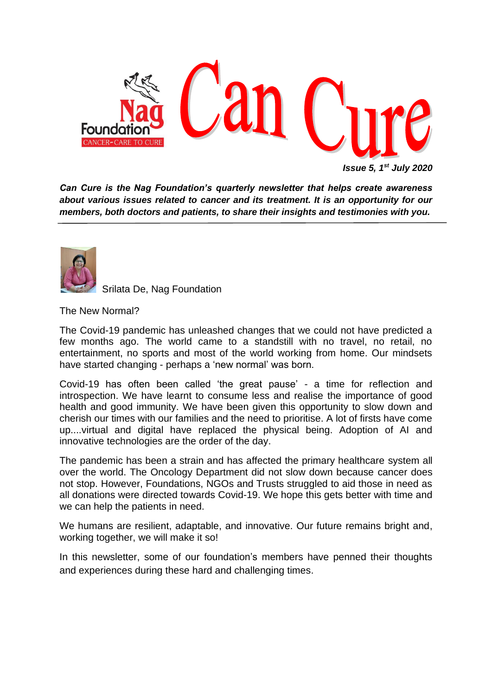

*Can Cure is the Nag Foundation's quarterly newsletter that helps create awareness about various issues related to cancer and its treatment. It is an opportunity for our members, both doctors and patients, to share their insights and testimonies with you.*



Srilata De, Nag Foundation

The New Normal?

The Covid-19 pandemic has unleashed changes that we could not have predicted a few months ago. The world came to a standstill with no travel, no retail, no entertainment, no sports and most of the world working from home. Our mindsets have started changing - perhaps a 'new normal' was born.

Covid-19 has often been called 'the great pause' - a time for reflection and introspection. We have learnt to consume less and realise the importance of good health and good immunity. We have been given this opportunity to slow down and cherish our times with our families and the need to prioritise. A lot of firsts have come up....virtual and digital have replaced the physical being. Adoption of AI and innovative technologies are the order of the day.

The pandemic has been a strain and has affected the primary healthcare system all over the world. The Oncology Department did not slow down because cancer does not stop. However, Foundations, NGOs and Trusts struggled to aid those in need as all donations were directed towards Covid-19. We hope this gets better with time and we can help the patients in need.

We humans are resilient, adaptable, and innovative. Our future remains bright and, working together, we will make it so!

In this newsletter, some of our foundation's members have penned their thoughts and experiences during these hard and challenging times.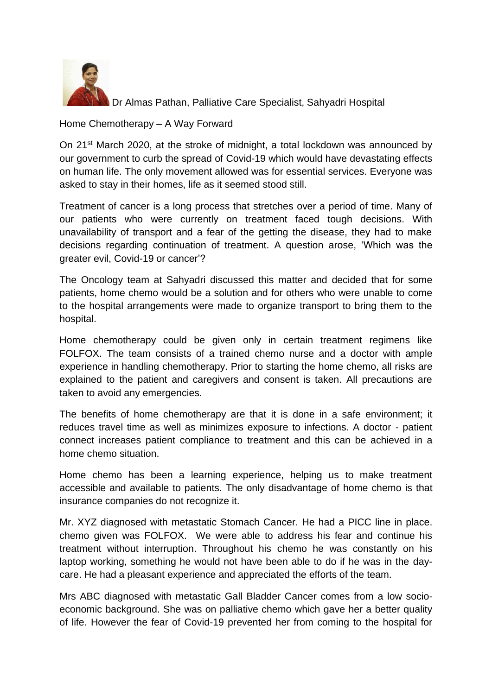

Dr Almas Pathan, Palliative Care Specialist, Sahyadri Hospital

## Home Chemotherapy – A Way Forward

On 21st March 2020, at the stroke of midnight, a total lockdown was announced by our government to curb the spread of Covid-19 which would have devastating effects on human life. The only movement allowed was for essential services. Everyone was asked to stay in their homes, life as it seemed stood still.

Treatment of cancer is a long process that stretches over a period of time. Many of our patients who were currently on treatment faced tough decisions. With unavailability of transport and a fear of the getting the disease, they had to make decisions regarding continuation of treatment. A question arose, 'Which was the greater evil, Covid-19 or cancer'?

The Oncology team at Sahyadri discussed this matter and decided that for some patients, home chemo would be a solution and for others who were unable to come to the hospital arrangements were made to organize transport to bring them to the hospital.

Home chemotherapy could be given only in certain treatment regimens like FOLFOX. The team consists of a trained chemo nurse and a doctor with ample experience in handling chemotherapy. Prior to starting the home chemo, all risks are explained to the patient and caregivers and consent is taken. All precautions are taken to avoid any emergencies.

The benefits of home chemotherapy are that it is done in a safe environment; it reduces travel time as well as minimizes exposure to infections. A doctor - patient connect increases patient compliance to treatment and this can be achieved in a home chemo situation.

Home chemo has been a learning experience, helping us to make treatment accessible and available to patients. The only disadvantage of home chemo is that insurance companies do not recognize it.

Mr. XYZ diagnosed with metastatic Stomach Cancer. He had a PICC line in place. chemo given was FOLFOX. We were able to address his fear and continue his treatment without interruption. Throughout his chemo he was constantly on his laptop working, something he would not have been able to do if he was in the daycare. He had a pleasant experience and appreciated the efforts of the team.

Mrs ABC diagnosed with metastatic Gall Bladder Cancer comes from a low socioeconomic background. She was on palliative chemo which gave her a better quality of life. However the fear of Covid-19 prevented her from coming to the hospital for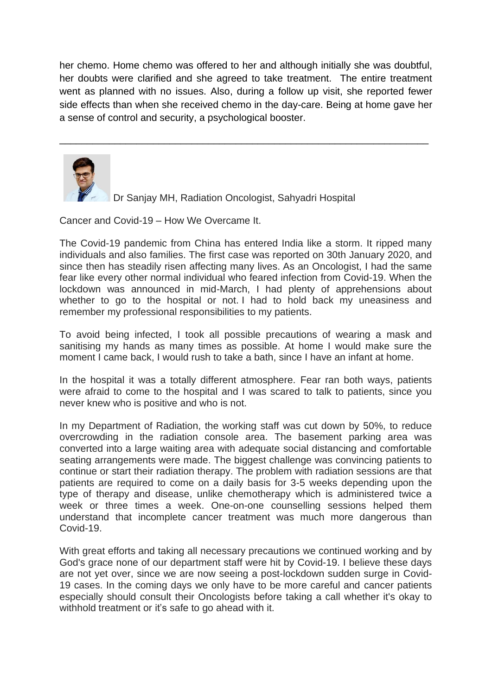her chemo. Home chemo was offered to her and although initially she was doubtful, her doubts were clarified and she agreed to take treatment. The entire treatment went as planned with no issues. Also, during a follow up visit, she reported fewer side effects than when she received chemo in the day-care. Being at home gave her a sense of control and security, a psychological booster.

\_\_\_\_\_\_\_\_\_\_\_\_\_\_\_\_\_\_\_\_\_\_\_\_\_\_\_\_\_\_\_\_\_\_\_\_\_\_\_\_\_\_\_\_\_\_\_\_\_\_\_\_\_\_\_\_\_\_\_\_\_\_\_\_\_\_\_



Dr Sanjay MH, Radiation Oncologist, Sahyadri Hospital

Cancer and Covid-19 – How We Overcame It.

The Covid-19 pandemic from China has entered India like a storm. It ripped many individuals and also families. The first case was reported on 30th January 2020, and since then has steadily risen affecting many lives. As an Oncologist, I had the same fear like every other normal individual who feared infection from Covid-19. When the lockdown was announced in mid-March, I had plenty of apprehensions about whether to go to the hospital or not. I had to hold back my uneasiness and remember my professional responsibilities to my patients.

To avoid being infected, I took all possible precautions of wearing a mask and sanitising my hands as many times as possible. At home I would make sure the moment I came back, I would rush to take a bath, since I have an infant at home.

In the hospital it was a totally different atmosphere. Fear ran both ways, patients were afraid to come to the hospital and I was scared to talk to patients, since you never knew who is positive and who is not.

In my Department of Radiation, the working staff was cut down by 50%, to reduce overcrowding in the radiation console area. The basement parking area was converted into a large waiting area with adequate social distancing and comfortable seating arrangements were made. The biggest challenge was convincing patients to continue or start their radiation therapy. The problem with radiation sessions are that patients are required to come on a daily basis for 3-5 weeks depending upon the type of therapy and disease, unlike chemotherapy which is administered twice a week or three times a week. One-on-one counselling sessions helped them understand that incomplete cancer treatment was much more dangerous than Covid-19.

With great efforts and taking all necessary precautions we continued working and by God's grace none of our department staff were hit by Covid-19. I believe these days are not yet over, since we are now seeing a post-lockdown sudden surge in Covid-19 cases. In the coming days we only have to be more careful and cancer patients especially should consult their Oncologists before taking a call whether it's okay to withhold treatment or it's safe to go ahead with it.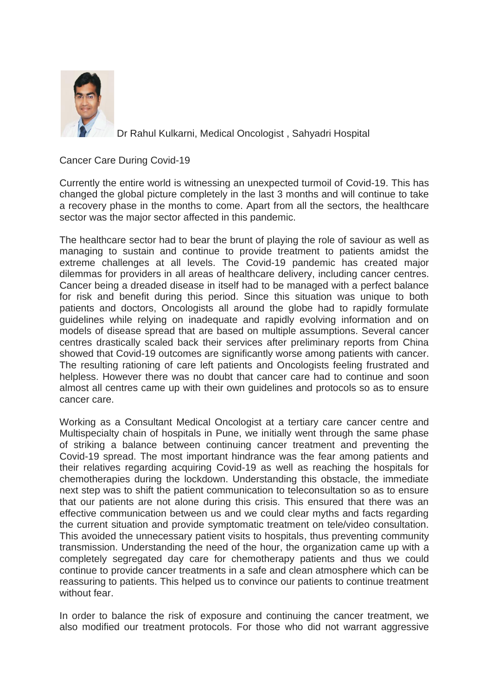

Dr Rahul Kulkarni, Medical Oncologist , Sahyadri Hospital

Cancer Care During Covid-19

Currently the entire world is witnessing an unexpected turmoil of Covid-19. This has changed the global picture completely in the last 3 months and will continue to take a recovery phase in the months to come. Apart from all the sectors, the healthcare sector was the major sector affected in this pandemic.

The healthcare sector had to bear the brunt of playing the role of saviour as well as managing to sustain and continue to provide treatment to patients amidst the extreme challenges at all levels. The Covid-19 pandemic has created major dilemmas for providers in all areas of healthcare delivery, including cancer centres. Cancer being a dreaded disease in itself had to be managed with a perfect balance for risk and benefit during this period. Since this situation was unique to both patients and doctors, Oncologists all around the globe had to rapidly formulate guidelines while relying on inadequate and rapidly evolving information and on models of disease spread that are based on multiple assumptions. Several cancer centres drastically scaled back their services after preliminary reports from China showed that Covid-19 outcomes are significantly worse among patients with cancer. The resulting rationing of care left patients and Oncologists feeling frustrated and helpless. However there was no doubt that cancer care had to continue and soon almost all centres came up with their own guidelines and protocols so as to ensure cancer care.

Working as a Consultant Medical Oncologist at a tertiary care cancer centre and Multispecialty chain of hospitals in Pune, we initially went through the same phase of striking a balance between continuing cancer treatment and preventing the Covid-19 spread. The most important hindrance was the fear among patients and their relatives regarding acquiring Covid-19 as well as reaching the hospitals for chemotherapies during the lockdown. Understanding this obstacle, the immediate next step was to shift the patient communication to teleconsultation so as to ensure that our patients are not alone during this crisis. This ensured that there was an effective communication between us and we could clear myths and facts regarding the current situation and provide symptomatic treatment on tele/video consultation. This avoided the unnecessary patient visits to hospitals, thus preventing community transmission. Understanding the need of the hour, the organization came up with a completely segregated day care for chemotherapy patients and thus we could continue to provide cancer treatments in a safe and clean atmosphere which can be reassuring to patients. This helped us to convince our patients to continue treatment without fear.

In order to balance the risk of exposure and continuing the cancer treatment, we also modified our treatment protocols. For those who did not warrant aggressive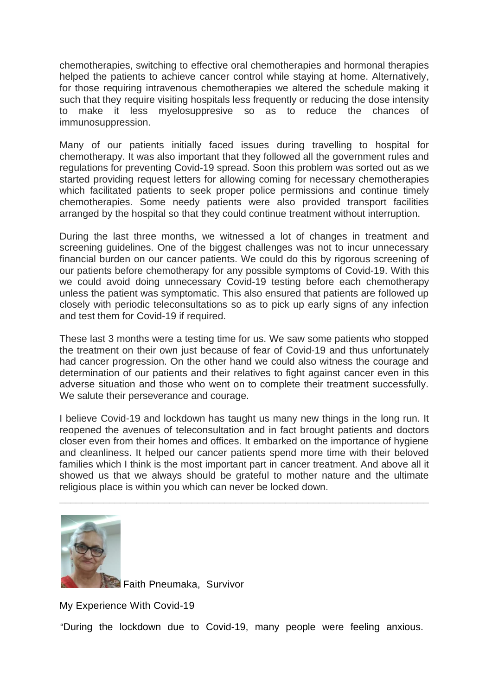chemotherapies, switching to effective oral chemotherapies and hormonal therapies helped the patients to achieve cancer control while staying at home. Alternatively, for those requiring intravenous chemotherapies we altered the schedule making it such that they require visiting hospitals less frequently or reducing the dose intensity to make it less myelosuppresive so as to reduce the chances of immunosuppression.

Many of our patients initially faced issues during travelling to hospital for chemotherapy. It was also important that they followed all the government rules and regulations for preventing Covid-19 spread. Soon this problem was sorted out as we started providing request letters for allowing coming for necessary chemotherapies which facilitated patients to seek proper police permissions and continue timely chemotherapies. Some needy patients were also provided transport facilities arranged by the hospital so that they could continue treatment without interruption.

During the last three months, we witnessed a lot of changes in treatment and screening guidelines. One of the biggest challenges was not to incur unnecessary financial burden on our cancer patients. We could do this by rigorous screening of our patients before chemotherapy for any possible symptoms of Covid-19. With this we could avoid doing unnecessary Covid-19 testing before each chemotherapy unless the patient was symptomatic. This also ensured that patients are followed up closely with periodic teleconsultations so as to pick up early signs of any infection and test them for Covid-19 if required.

These last 3 months were a testing time for us. We saw some patients who stopped the treatment on their own just because of fear of Covid-19 and thus unfortunately had cancer progression. On the other hand we could also witness the courage and determination of our patients and their relatives to fight against cancer even in this adverse situation and those who went on to complete their treatment successfully. We salute their perseverance and courage.

I believe Covid-19 and lockdown has taught us many new things in the long run. It reopened the avenues of teleconsultation and in fact brought patients and doctors closer even from their homes and offices. It embarked on the importance of hygiene and cleanliness. It helped our cancer patients spend more time with their beloved families which I think is the most important part in cancer treatment. And above all it showed us that we always should be grateful to mother nature and the ultimate religious place is within you which can never be locked down.

[\\_\\_](https://www.google.com/)\_\_\_\_\_\_\_\_\_\_\_\_\_\_\_\_\_\_\_\_\_\_\_\_\_\_\_\_\_\_\_\_\_\_\_\_\_\_\_\_\_\_\_\_\_\_\_\_\_\_\_\_\_\_\_\_\_\_\_\_\_\_\_\_\_



Faith Pneumaka, Survivor

My Experience With Covid-19

"During the lockdown due to Covid-19, many people were feeling anxious.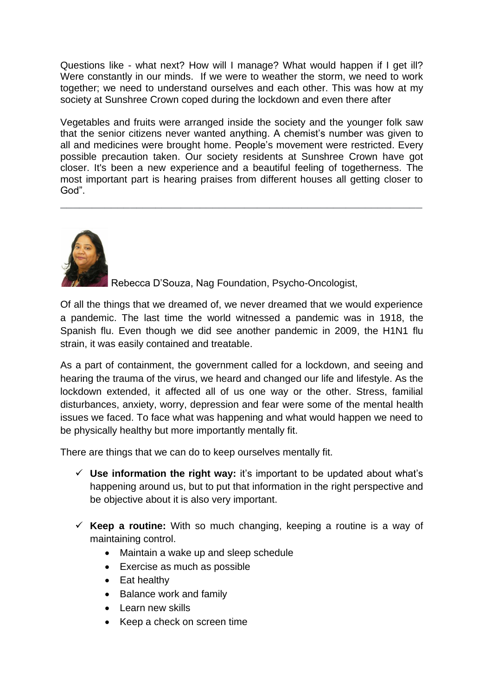Questions like - what next? How will I manage? What would happen if I get ill? Were constantly in our minds. If we were to weather the storm, we need to work together; we need to understand ourselves and each other. This was how at my society at Sunshree Crown coped during the lockdown and even there after

Vegetables and fruits were arranged inside the society and the younger folk saw that the senior citizens never wanted anything. A chemist's number was given to all and medicines were brought home. People's movement were restricted. Every possible precaution taken. Our society residents at Sunshree Crown have got closer. It's been a new experience and a beautiful feeling of togetherness. The most important part is hearing praises from different houses all getting closer to God".

\_\_\_\_\_\_\_\_\_\_\_\_\_\_\_\_\_\_\_\_\_\_\_\_\_\_\_\_\_\_\_\_\_\_\_\_\_\_\_\_\_\_\_\_\_\_\_\_\_\_\_\_\_\_\_\_\_



Rebecca D'Souza, Nag Foundation, Psycho-Oncologist,

Of all the things that we dreamed of, we never dreamed that we would experience a pandemic. The last time the world witnessed a pandemic was in 1918, the Spanish flu. Even though we did see another pandemic in 2009, the H1N1 flu strain, it was easily contained and treatable.

As a part of containment, the government called for a lockdown, and seeing and hearing the trauma of the virus, we heard and changed our life and lifestyle. As the lockdown extended, it affected all of us one way or the other. Stress, familial disturbances, anxiety, worry, depression and fear were some of the mental health issues we faced. To face what was happening and what would happen we need to be physically healthy but more importantly mentally fit.

There are things that we can do to keep ourselves mentally fit.

- ✓ **Use information the right way:** it's important to be updated about what's happening around us, but to put that information in the right perspective and be objective about it is also very important.
- $\checkmark$  Keep a routine: With so much changing, keeping a routine is a way of maintaining control.
	- Maintain a wake up and sleep schedule
	- Exercise as much as possible
	- Eat healthy
	- Balance work and family
	- Learn new skills
	- Keep a check on screen time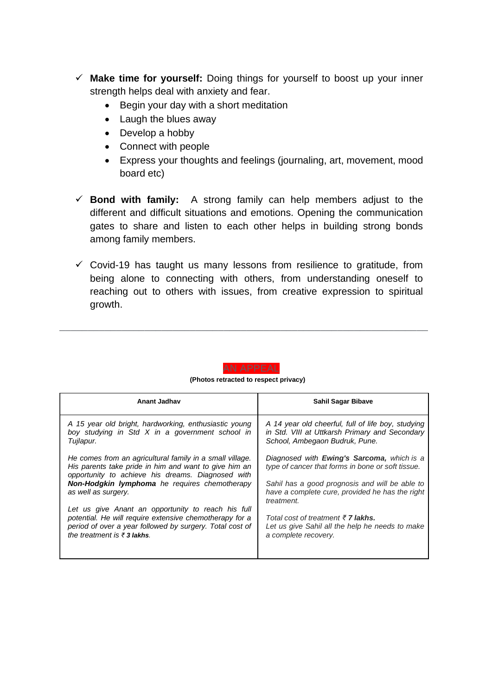- ✓ **Make time for yourself:** Doing things for yourself to boost up your inner strength helps deal with anxiety and fear.
	- Begin your day with a short meditation
	- Laugh the blues away
	- Develop a hobby
	- Connect with people
	- Express your thoughts and feelings (journaling, art, movement, mood board etc)
- $\checkmark$  **Bond with family:** A strong family can help members adjust to the different and difficult situations and emotions. Opening the communication gates to share and listen to each other helps in building strong bonds among family members.
- $\checkmark$  Covid-19 has taught us many lessons from resilience to gratitude, from being alone to connecting with others, from understanding oneself to reaching out to others with issues, from creative expression to spiritual growth.



 **(Photos retracted to respect privacy)**

\_\_\_\_\_\_\_\_\_\_\_\_\_\_\_\_\_\_\_\_\_\_\_\_\_\_\_\_\_\_\_\_\_\_\_\_\_\_\_\_\_\_\_\_\_\_\_\_\_\_\_\_\_\_\_\_\_\_\_\_\_\_\_\_\_

| Anant Jadhav                                                                                                                                                                                                            | <b>Sahil Sagar Bibave</b>                                                                                                              |
|-------------------------------------------------------------------------------------------------------------------------------------------------------------------------------------------------------------------------|----------------------------------------------------------------------------------------------------------------------------------------|
| A 15 year old bright, hardworking, enthusiastic young<br>boy studying in Std X in a government school in<br>Tujlapur.                                                                                                   | A 14 year old cheerful, full of life boy, studying<br>in Std. VIII at Uttkarsh Primary and Secondary<br>School, Ambegaon Budruk, Pune. |
| He comes from an agricultural family in a small village.<br>His parents take pride in him and want to give him an<br>opportunity to achieve his dreams. Diagnosed with                                                  | Diagnosed with <b>Ewing's Sarcoma</b> , which is a<br>type of cancer that forms in bone or soft tissue.                                |
| <b>Non-Hodgkin lymphoma</b> he requires chemotherapy<br>as well as surgery.                                                                                                                                             | Sahil has a good prognosis and will be able to<br>have a complete cure, provided he has the right<br>treatment.                        |
| Let us give Anant an opportunity to reach his full<br>potential. He will require extensive chemotherapy for a<br>period of over a year followed by surgery. Total cost of<br>the treatment is $\bar{\epsilon}$ 3 lakhs. | Total cost of treatment $\bar{\tau}$ 7 lakhs.<br>Let us give Sahil all the help he needs to make<br>a complete recovery.               |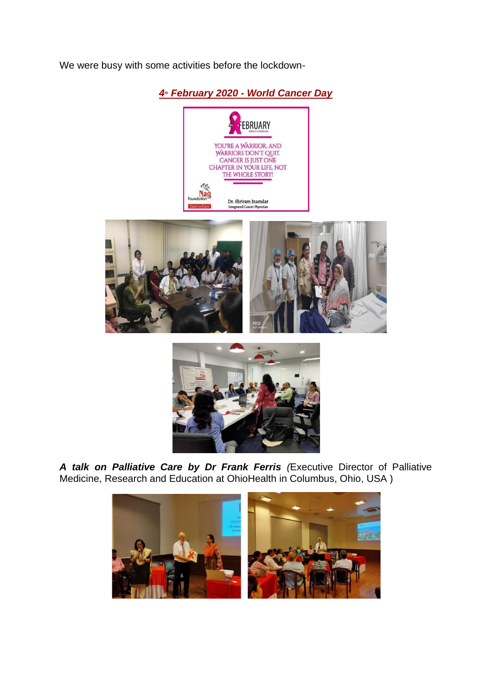We were busy with some activities before the lockdown-









*A talk on Palliative Care by Dr Frank Ferris (*Executive Director of Palliative Medicine, Research and Education at OhioHealth in Columbus, Ohio, USA )

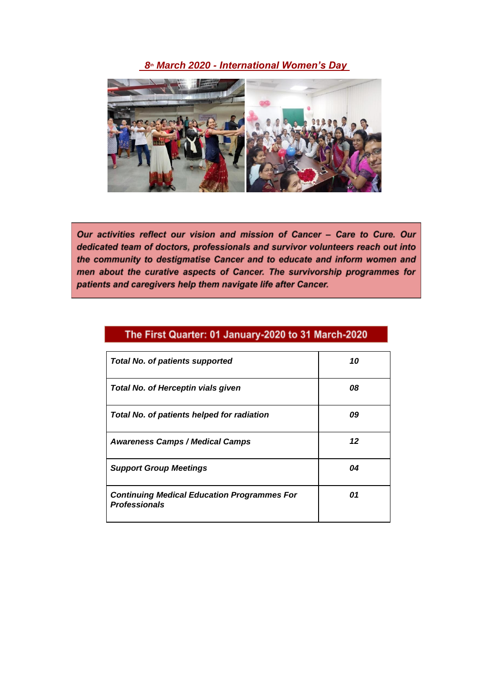*8th March 2020 - International Women's Day* 



Our activities reflect our vision and mission of Cancer - Care to Cure. Our dedicated team of doctors, professionals and survivor volunteers reach out into the community to destigmatise Cancer and to educate and inform women and men about the curative aspects of Cancer. The survivorship programmes for patients and caregivers help them navigate life after Cancer.

| <b>Total No. of patients supported</b>                                     | 10 |
|----------------------------------------------------------------------------|----|
| <b>Total No. of Herceptin vials given</b>                                  | 08 |
| <b>Total No. of patients helped for radiation</b>                          | 09 |
| <b>Awareness Camps / Medical Camps</b>                                     | 12 |
| <b>Support Group Meetings</b>                                              | 04 |
| <b>Continuing Medical Education Programmes For</b><br><b>Professionals</b> | 01 |

## The First Quarter: 01 January-2020 to 31 March-2020